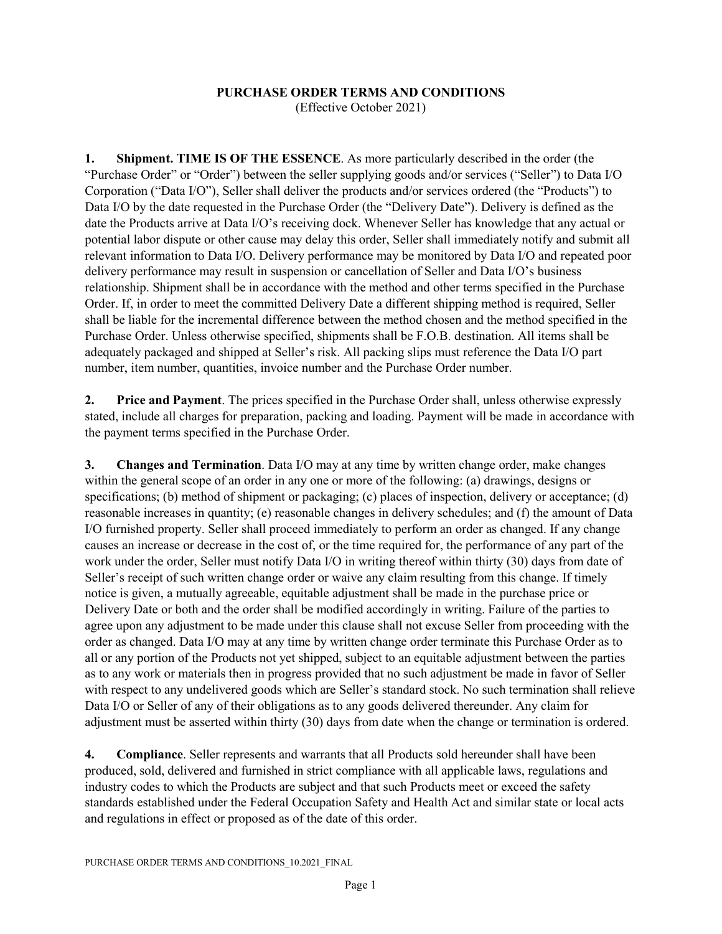## **PURCHASE ORDER TERMS AND CONDITIONS**

(Effective October 2021)

**1. Shipment. TIME IS OF THE ESSENCE**. As more particularly described in the order (the "Purchase Order" or "Order") between the seller supplying goods and/or services ("Seller") to Data I/O Corporation ("Data I/O"), Seller shall deliver the products and/or services ordered (the "Products") to Data I/O by the date requested in the Purchase Order (the "Delivery Date"). Delivery is defined as the date the Products arrive at Data I/O's receiving dock. Whenever Seller has knowledge that any actual or potential labor dispute or other cause may delay this order, Seller shall immediately notify and submit all relevant information to Data I/O. Delivery performance may be monitored by Data I/O and repeated poor delivery performance may result in suspension or cancellation of Seller and Data I/O's business relationship. Shipment shall be in accordance with the method and other terms specified in the Purchase Order. If, in order to meet the committed Delivery Date a different shipping method is required, Seller shall be liable for the incremental difference between the method chosen and the method specified in the Purchase Order. Unless otherwise specified, shipments shall be F.O.B. destination. All items shall be adequately packaged and shipped at Seller's risk. All packing slips must reference the Data I/O part number, item number, quantities, invoice number and the Purchase Order number.

**2. Price and Payment**. The prices specified in the Purchase Order shall, unless otherwise expressly stated, include all charges for preparation, packing and loading. Payment will be made in accordance with the payment terms specified in the Purchase Order.

**3. Changes and Termination**. Data I/O may at any time by written change order, make changes within the general scope of an order in any one or more of the following: (a) drawings, designs or specifications; (b) method of shipment or packaging; (c) places of inspection, delivery or acceptance; (d) reasonable increases in quantity; (e) reasonable changes in delivery schedules; and (f) the amount of Data I/O furnished property. Seller shall proceed immediately to perform an order as changed. If any change causes an increase or decrease in the cost of, or the time required for, the performance of any part of the work under the order, Seller must notify Data I/O in writing thereof within thirty (30) days from date of Seller's receipt of such written change order or waive any claim resulting from this change. If timely notice is given, a mutually agreeable, equitable adjustment shall be made in the purchase price or Delivery Date or both and the order shall be modified accordingly in writing. Failure of the parties to agree upon any adjustment to be made under this clause shall not excuse Seller from proceeding with the order as changed. Data I/O may at any time by written change order terminate this Purchase Order as to all or any portion of the Products not yet shipped, subject to an equitable adjustment between the parties as to any work or materials then in progress provided that no such adjustment be made in favor of Seller with respect to any undelivered goods which are Seller's standard stock. No such termination shall relieve Data I/O or Seller of any of their obligations as to any goods delivered thereunder. Any claim for adjustment must be asserted within thirty (30) days from date when the change or termination is ordered.

**4. Compliance**. Seller represents and warrants that all Products sold hereunder shall have been produced, sold, delivered and furnished in strict compliance with all applicable laws, regulations and industry codes to which the Products are subject and that such Products meet or exceed the safety standards established under the Federal Occupation Safety and Health Act and similar state or local acts and regulations in effect or proposed as of the date of this order.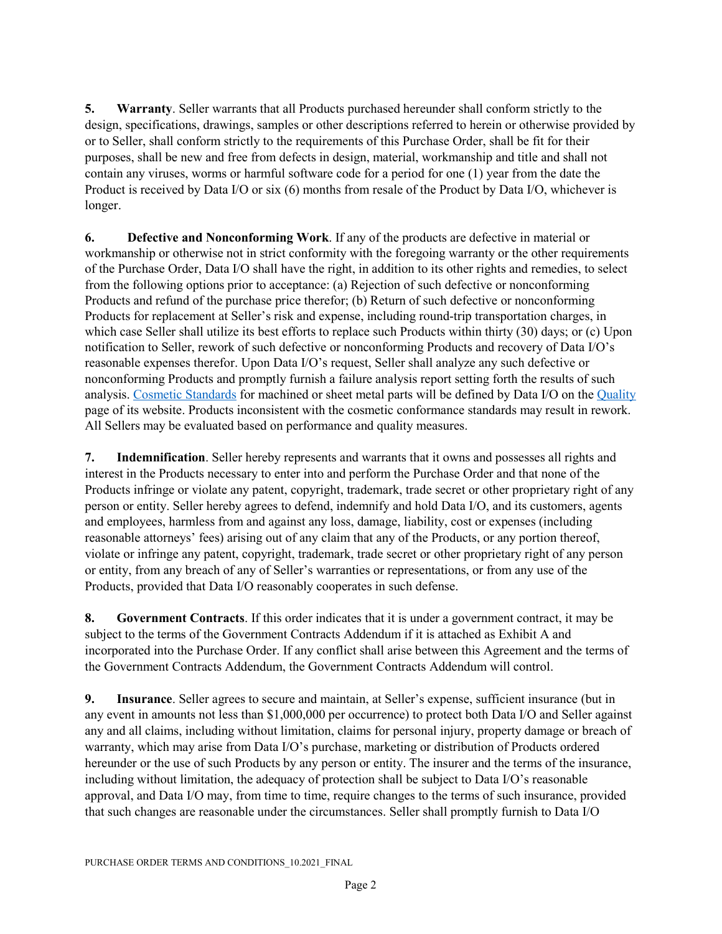**5. Warranty**. Seller warrants that all Products purchased hereunder shall conform strictly to the design, specifications, drawings, samples or other descriptions referred to herein or otherwise provided by or to Seller, shall conform strictly to the requirements of this Purchase Order, shall be fit for their purposes, shall be new and free from defects in design, material, workmanship and title and shall not contain any viruses, worms or harmful software code for a period for one (1) year from the date the Product is received by Data I/O or six (6) months from resale of the Product by Data I/O, whichever is longer.

**6. Defective and Nonconforming Work**. If any of the products are defective in material or workmanship or otherwise not in strict conformity with the foregoing warranty or the other requirements of the Purchase Order, Data I/O shall have the right, in addition to its other rights and remedies, to select from the following options prior to acceptance: (a) Rejection of such defective or nonconforming Products and refund of the purchase price therefor; (b) Return of such defective or nonconforming Products for replacement at Seller's risk and expense, including round-trip transportation charges, in which case Seller shall utilize its best efforts to replace such Products within thirty (30) days; or (c) Upon notification to Seller, rework of such defective or nonconforming Products and recovery of Data I/O's reasonable expenses therefor. Upon Data I/O's request, Seller shall analyze any such defective or nonconforming Products and promptly furnish a failure analysis report setting forth the results of such analysis. [Cosmetic Standards](https://www.dataio.com/Cosmetic-Standards) for machined or sheet metal parts will be defined by Data I/O on the [Quality](https://www.dataio.com/Company/Quality) page of its website. Products inconsistent with the cosmetic conformance standards may result in rework. All Sellers may be evaluated based on performance and quality measures.

**7. Indemnification**. Seller hereby represents and warrants that it owns and possesses all rights and interest in the Products necessary to enter into and perform the Purchase Order and that none of the Products infringe or violate any patent, copyright, trademark, trade secret or other proprietary right of any person or entity. Seller hereby agrees to defend, indemnify and hold Data I/O, and its customers, agents and employees, harmless from and against any loss, damage, liability, cost or expenses (including reasonable attorneys' fees) arising out of any claim that any of the Products, or any portion thereof, violate or infringe any patent, copyright, trademark, trade secret or other proprietary right of any person or entity, from any breach of any of Seller's warranties or representations, or from any use of the Products, provided that Data I/O reasonably cooperates in such defense.

**8. Government Contracts**. If this order indicates that it is under a government contract, it may be subject to the terms of the Government Contracts Addendum if it is attached as Exhibit A and incorporated into the Purchase Order. If any conflict shall arise between this Agreement and the terms of the Government Contracts Addendum, the Government Contracts Addendum will control.

**9. Insurance**. Seller agrees to secure and maintain, at Seller's expense, sufficient insurance (but in any event in amounts not less than \$1,000,000 per occurrence) to protect both Data I/O and Seller against any and all claims, including without limitation, claims for personal injury, property damage or breach of warranty, which may arise from Data I/O's purchase, marketing or distribution of Products ordered hereunder or the use of such Products by any person or entity. The insurer and the terms of the insurance, including without limitation, the adequacy of protection shall be subject to Data I/O's reasonable approval, and Data I/O may, from time to time, require changes to the terms of such insurance, provided that such changes are reasonable under the circumstances. Seller shall promptly furnish to Data I/O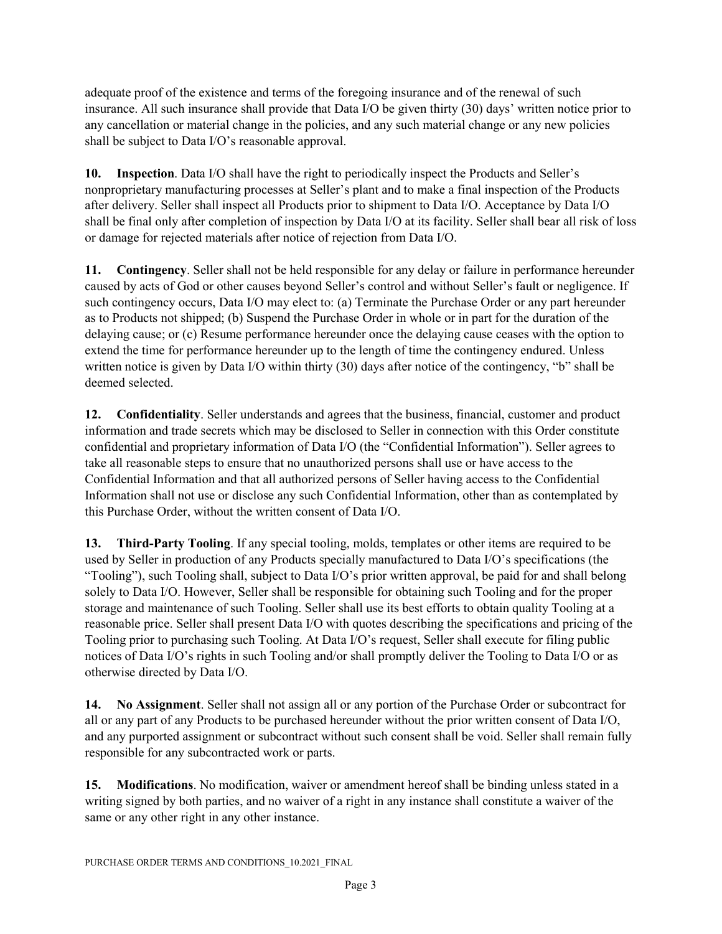adequate proof of the existence and terms of the foregoing insurance and of the renewal of such insurance. All such insurance shall provide that Data I/O be given thirty (30) days' written notice prior to any cancellation or material change in the policies, and any such material change or any new policies shall be subject to Data I/O's reasonable approval.

**10. Inspection**. Data I/O shall have the right to periodically inspect the Products and Seller's nonproprietary manufacturing processes at Seller's plant and to make a final inspection of the Products after delivery. Seller shall inspect all Products prior to shipment to Data I/O. Acceptance by Data I/O shall be final only after completion of inspection by Data I/O at its facility. Seller shall bear all risk of loss or damage for rejected materials after notice of rejection from Data I/O.

**11. Contingency**. Seller shall not be held responsible for any delay or failure in performance hereunder caused by acts of God or other causes beyond Seller's control and without Seller's fault or negligence. If such contingency occurs, Data I/O may elect to: (a) Terminate the Purchase Order or any part hereunder as to Products not shipped; (b) Suspend the Purchase Order in whole or in part for the duration of the delaying cause; or (c) Resume performance hereunder once the delaying cause ceases with the option to extend the time for performance hereunder up to the length of time the contingency endured. Unless written notice is given by Data I/O within thirty (30) days after notice of the contingency, "b" shall be deemed selected.

**12. Confidentiality**. Seller understands and agrees that the business, financial, customer and product information and trade secrets which may be disclosed to Seller in connection with this Order constitute confidential and proprietary information of Data I/O (the "Confidential Information"). Seller agrees to take all reasonable steps to ensure that no unauthorized persons shall use or have access to the Confidential Information and that all authorized persons of Seller having access to the Confidential Information shall not use or disclose any such Confidential Information, other than as contemplated by this Purchase Order, without the written consent of Data I/O.

**13. Third-Party Tooling**. If any special tooling, molds, templates or other items are required to be used by Seller in production of any Products specially manufactured to Data I/O's specifications (the "Tooling"), such Tooling shall, subject to Data I/O's prior written approval, be paid for and shall belong solely to Data I/O. However, Seller shall be responsible for obtaining such Tooling and for the proper storage and maintenance of such Tooling. Seller shall use its best efforts to obtain quality Tooling at a reasonable price. Seller shall present Data I/O with quotes describing the specifications and pricing of the Tooling prior to purchasing such Tooling. At Data I/O's request, Seller shall execute for filing public notices of Data I/O's rights in such Tooling and/or shall promptly deliver the Tooling to Data I/O or as otherwise directed by Data I/O.

**14. No Assignment**. Seller shall not assign all or any portion of the Purchase Order or subcontract for all or any part of any Products to be purchased hereunder without the prior written consent of Data I/O, and any purported assignment or subcontract without such consent shall be void. Seller shall remain fully responsible for any subcontracted work or parts.

**15. Modifications**. No modification, waiver or amendment hereof shall be binding unless stated in a writing signed by both parties, and no waiver of a right in any instance shall constitute a waiver of the same or any other right in any other instance.